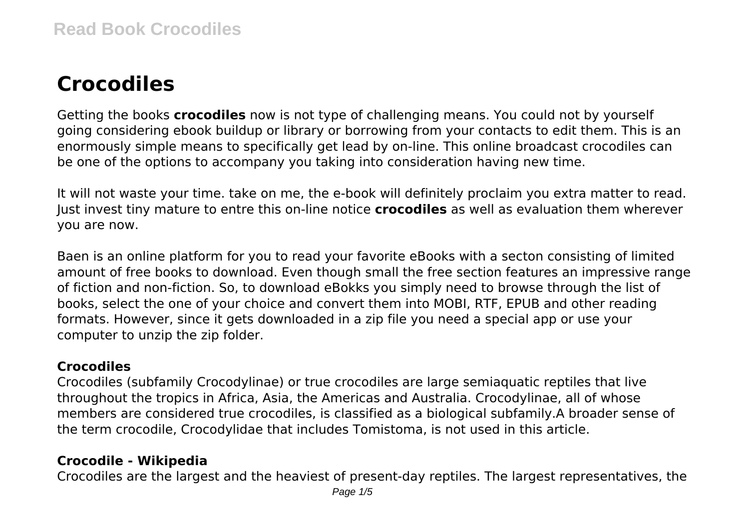# **Crocodiles**

Getting the books **crocodiles** now is not type of challenging means. You could not by yourself going considering ebook buildup or library or borrowing from your contacts to edit them. This is an enormously simple means to specifically get lead by on-line. This online broadcast crocodiles can be one of the options to accompany you taking into consideration having new time.

It will not waste your time. take on me, the e-book will definitely proclaim you extra matter to read. Just invest tiny mature to entre this on-line notice **crocodiles** as well as evaluation them wherever you are now.

Baen is an online platform for you to read your favorite eBooks with a secton consisting of limited amount of free books to download. Even though small the free section features an impressive range of fiction and non-fiction. So, to download eBokks you simply need to browse through the list of books, select the one of your choice and convert them into MOBI, RTF, EPUB and other reading formats. However, since it gets downloaded in a zip file you need a special app or use your computer to unzip the zip folder.

## **Crocodiles**

Crocodiles (subfamily Crocodylinae) or true crocodiles are large semiaquatic reptiles that live throughout the tropics in Africa, Asia, the Americas and Australia. Crocodylinae, all of whose members are considered true crocodiles, is classified as a biological subfamily.A broader sense of the term crocodile, Crocodylidae that includes Tomistoma, is not used in this article.

# **Crocodile - Wikipedia**

Crocodiles are the largest and the heaviest of present-day reptiles. The largest representatives, the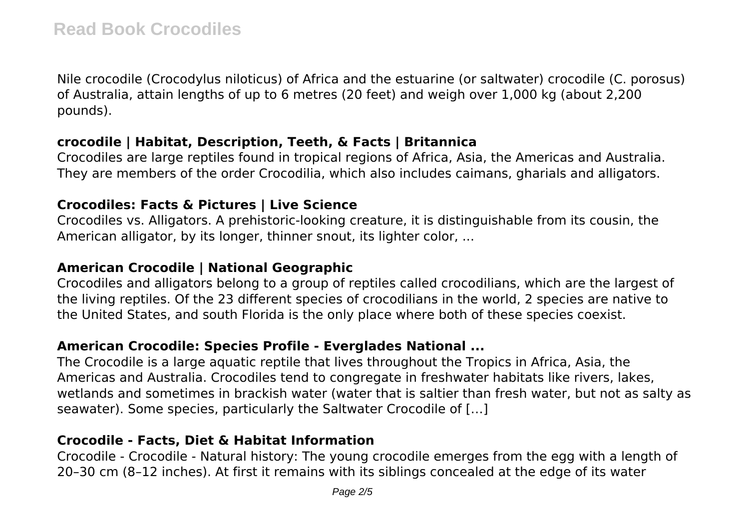Nile crocodile (Crocodylus niloticus) of Africa and the estuarine (or saltwater) crocodile (C. porosus) of Australia, attain lengths of up to 6 metres (20 feet) and weigh over 1,000 kg (about 2,200 pounds).

## **crocodile | Habitat, Description, Teeth, & Facts | Britannica**

Crocodiles are large reptiles found in tropical regions of Africa, Asia, the Americas and Australia. They are members of the order Crocodilia, which also includes caimans, gharials and alligators.

#### **Crocodiles: Facts & Pictures | Live Science**

Crocodiles vs. Alligators. A prehistoric-looking creature, it is distinguishable from its cousin, the American alligator, by its longer, thinner snout, its lighter color, ...

## **American Crocodile | National Geographic**

Crocodiles and alligators belong to a group of reptiles called crocodilians, which are the largest of the living reptiles. Of the 23 different species of crocodilians in the world, 2 species are native to the United States, and south Florida is the only place where both of these species coexist.

## **American Crocodile: Species Profile - Everglades National ...**

The Crocodile is a large aquatic reptile that lives throughout the Tropics in Africa, Asia, the Americas and Australia. Crocodiles tend to congregate in freshwater habitats like rivers, lakes, wetlands and sometimes in brackish water (water that is saltier than fresh water, but not as salty as seawater). Some species, particularly the Saltwater Crocodile of […]

## **Crocodile - Facts, Diet & Habitat Information**

Crocodile - Crocodile - Natural history: The young crocodile emerges from the egg with a length of 20–30 cm (8–12 inches). At first it remains with its siblings concealed at the edge of its water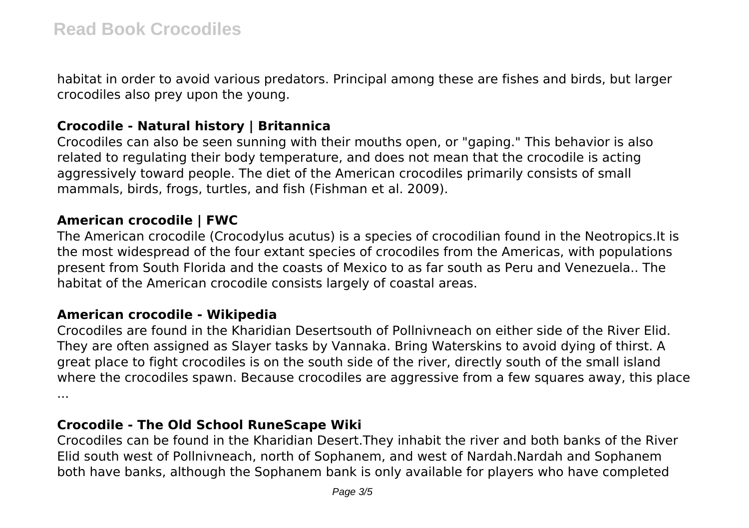habitat in order to avoid various predators. Principal among these are fishes and birds, but larger crocodiles also prey upon the young.

## **Crocodile - Natural history | Britannica**

Crocodiles can also be seen sunning with their mouths open, or "gaping." This behavior is also related to regulating their body temperature, and does not mean that the crocodile is acting aggressively toward people. The diet of the American crocodiles primarily consists of small mammals, birds, frogs, turtles, and fish (Fishman et al. 2009).

#### **American crocodile | FWC**

The American crocodile (Crocodylus acutus) is a species of crocodilian found in the Neotropics.It is the most widespread of the four extant species of crocodiles from the Americas, with populations present from South Florida and the coasts of Mexico to as far south as Peru and Venezuela.. The habitat of the American crocodile consists largely of coastal areas.

#### **American crocodile - Wikipedia**

Crocodiles are found in the Kharidian Desertsouth of Pollnivneach on either side of the River Elid. They are often assigned as Slayer tasks by Vannaka. Bring Waterskins to avoid dying of thirst. A great place to fight crocodiles is on the south side of the river, directly south of the small island where the crocodiles spawn. Because crocodiles are aggressive from a few squares away, this place ...

#### **Crocodile - The Old School RuneScape Wiki**

Crocodiles can be found in the Kharidian Desert.They inhabit the river and both banks of the River Elid south west of Pollnivneach, north of Sophanem, and west of Nardah.Nardah and Sophanem both have banks, although the Sophanem bank is only available for players who have completed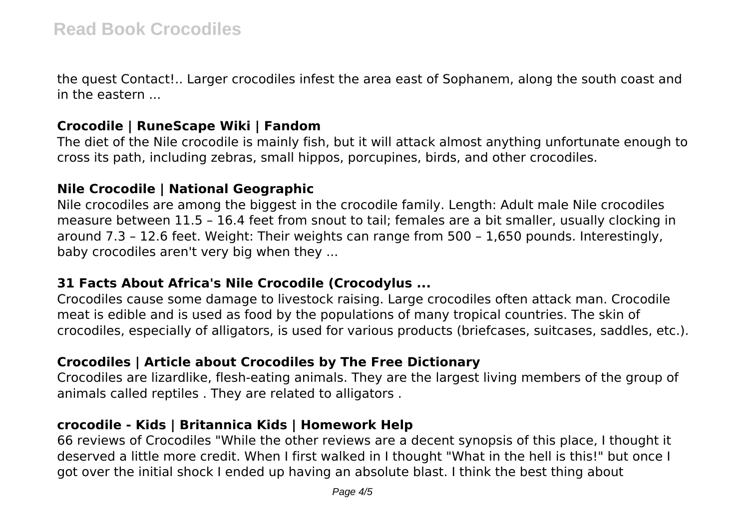the quest Contact!.. Larger crocodiles infest the area east of Sophanem, along the south coast and in the eastern ...

#### **Crocodile | RuneScape Wiki | Fandom**

The diet of the Nile crocodile is mainly fish, but it will attack almost anything unfortunate enough to cross its path, including zebras, small hippos, porcupines, birds, and other crocodiles.

#### **Nile Crocodile | National Geographic**

Nile crocodiles are among the biggest in the crocodile family. Length: Adult male Nile crocodiles measure between 11.5 – 16.4 feet from snout to tail; females are a bit smaller, usually clocking in around 7.3 – 12.6 feet. Weight: Their weights can range from 500 – 1,650 pounds. Interestingly, baby crocodiles aren't very big when they ...

#### **31 Facts About Africa's Nile Crocodile (Crocodylus ...**

Crocodiles cause some damage to livestock raising. Large crocodiles often attack man. Crocodile meat is edible and is used as food by the populations of many tropical countries. The skin of crocodiles, especially of alligators, is used for various products (briefcases, suitcases, saddles, etc.).

## **Crocodiles | Article about Crocodiles by The Free Dictionary**

Crocodiles are lizardlike, flesh-eating animals. They are the largest living members of the group of animals called reptiles . They are related to alligators .

#### **crocodile - Kids | Britannica Kids | Homework Help**

66 reviews of Crocodiles "While the other reviews are a decent synopsis of this place, I thought it deserved a little more credit. When I first walked in I thought "What in the hell is this!" but once I got over the initial shock I ended up having an absolute blast. I think the best thing about